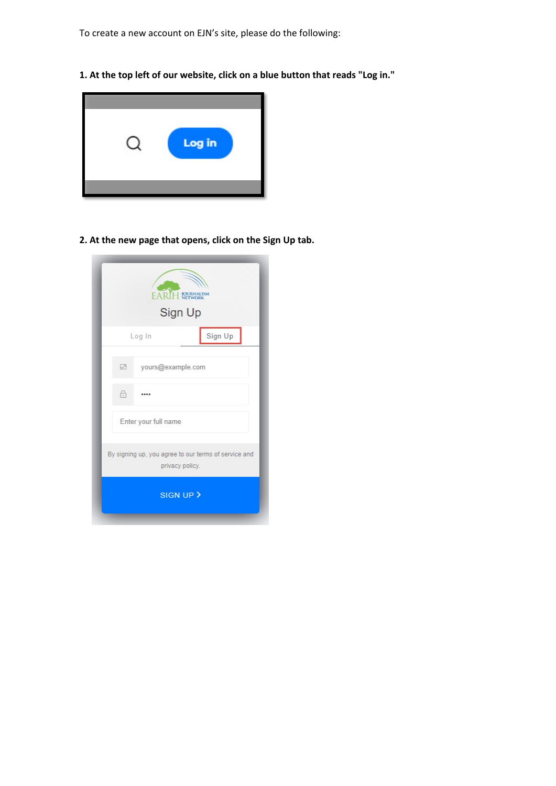To create a new account on EJN's site, please do the following:

**1. At the top left of our website, click on a blue button that reads "Log in."**



**2. At the new page that opens, click on the Sign Up tab.**

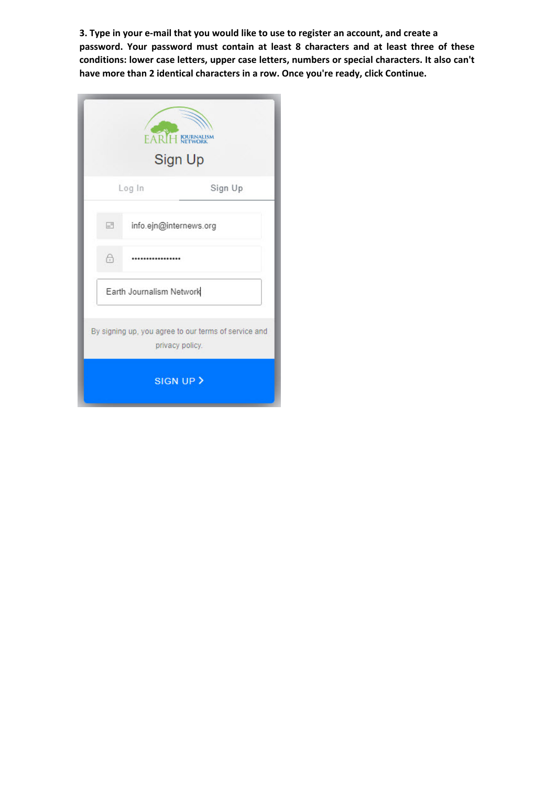**3. Type in your e-mail that you would like to use to register an account, and create a password. Your password must contain at least 8 characters and at least three of these conditions: lower case letters, upper case letters, numbers or special characters. It also can't have more than 2 identical characters in a row. Once you're ready, click Continue.** 

|        |                          | <b>Sign Up</b>                                                          |
|--------|--------------------------|-------------------------------------------------------------------------|
|        | Log In                   | Sign Up                                                                 |
| $\Box$ | info.ejn@internews.org   |                                                                         |
| 6      |                          |                                                                         |
|        | Earth Journalism Network |                                                                         |
|        |                          | By signing up, you agree to our terms of service and<br>privacy policy. |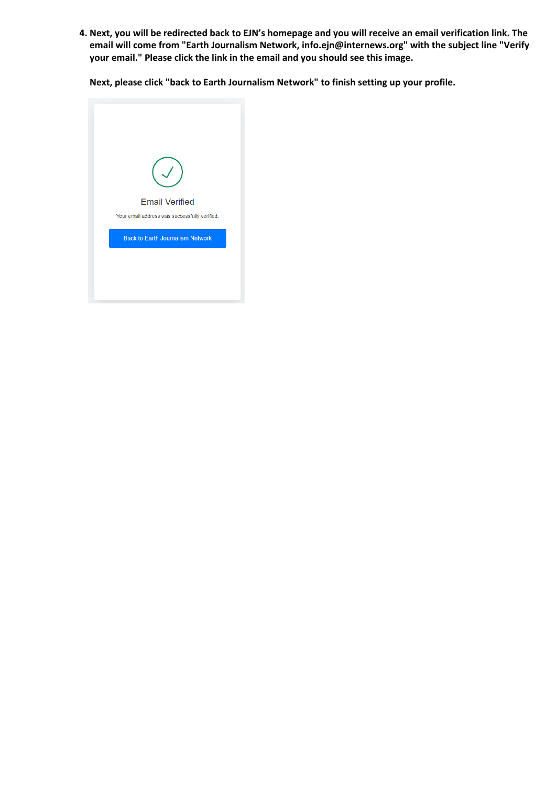**4. Next, you will be redirected back to EJN's homepage and you will receive an email verification link. The email will come from "Earth Journalism Network, info.ejn@internews.org" with the subject line "Verify your email." Please click the link in the email and you should see this image.** 

**Next, please click "back to Earth Journalism Network" to finish setting up your profile.**